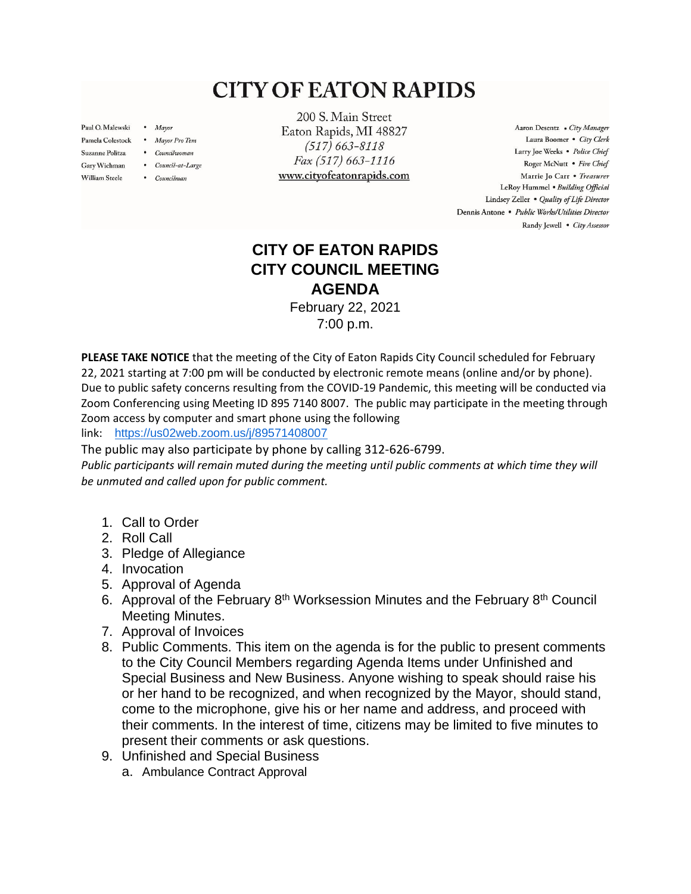## **CITY OF EATON RAPIDS**

Paul O. Malewski . Mayor

**William Steele** 

- Pamela Colestock . Mayor Pro Tem
- Suzanne Politza . Councilwoman
- Gary Wichman . Council-at-Large
	- Councilman

200 S. Main Street Eaton Rapids, MI 48827  $(517) 663 - 8118$ Fax (517) 663-1116 www.cityofeatonrapids.com

Aaron Desentz . City Manager Laura Boomer . City Clerk Larry Joe Weeks . Police Chief Roger McNutt · Fire Chief Marrie Jo Carr . Treasurer LeRoy Hummel . Building Official Lindsey Zeller . Quality of Life Director Dennis Antone · Public Works/Utilities Director Randy Jewell . City Assessor

## **CITY OF EATON RAPIDS CITY COUNCIL MEETING AGENDA**

February 22, 2021 7:00 p.m.

**PLEASE TAKE NOTICE** that the meeting of the City of Eaton Rapids City Council scheduled for February 22, 2021 starting at 7:00 pm will be conducted by electronic remote means (online and/or by phone). Due to public safety concerns resulting from the COVID-19 Pandemic, this meeting will be conducted via Zoom Conferencing using Meeting ID 895 7140 8007. The public may participate in the meeting through Zoom access by computer and smart phone using the following

link: <https://us02web.zoom.us/j/89571408007>

The public may also participate by phone by calling 312-626-6799.

Public participants will remain muted during the meeting until public comments at which time they will *be unmuted and called upon for public comment.*

- 1. Call to Order
- 2. Roll Call
- 3. Pledge of Allegiance
- 4. Invocation
- 5. Approval of Agenda
- 6. Approval of the February  $8<sup>th</sup>$  Worksession Minutes and the February  $8<sup>th</sup>$  Council Meeting Minutes.
- 7. Approval of Invoices
- 8. Public Comments. This item on the agenda is for the public to present comments to the City Council Members regarding Agenda Items under Unfinished and Special Business and New Business. Anyone wishing to speak should raise his or her hand to be recognized, and when recognized by the Mayor, should stand, come to the microphone, give his or her name and address, and proceed with their comments. In the interest of time, citizens may be limited to five minutes to present their comments or ask questions.
- 9. Unfinished and Special Business
	- a. Ambulance Contract Approval